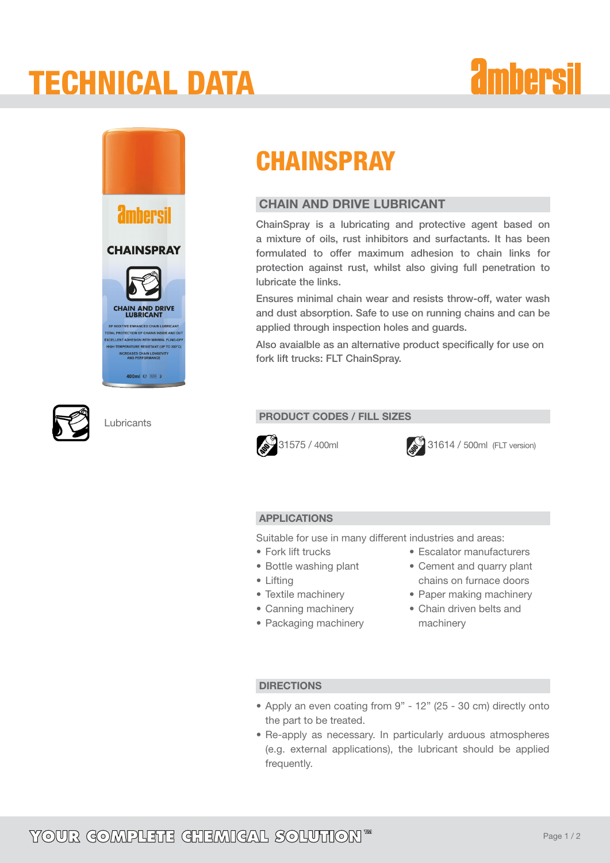# tECHNICAL dATA







## **CHAINSPRAY**

### CHAIN AND DRIVE LUBRICANT

ChainSpray is a lubricating and protective agent based on a mixture of oils, rust inhibitors and surfactants. It has been formulated to offer maximum adhesion to chain links for protection against rust, whilst also giving full penetration to lubricate the links.

Ensures minimal chain wear and resists throw-off, water wash and dust absorption. Safe to use on running chains and can be applied through inspection holes and guards.

Also avaialble as an alternative product specifically for use on fork lift trucks: FLT ChainSpray.

### **PRODUCT CODES / FILL SIZES**



**31575 / 400ml** 31614 / 500ml (FLT version)

### APPLICATIONS

Suitable for use in many different industries and areas:

- Fork lift trucks
- Bottle washing plant
- • Lifting
- Textile machinery
- Canning machinery
- Packaging machinery
- • Escalator manufacturers • Cement and quarry plant chains on furnace doors
- Paper making machinery
- • Chain driven belts and machinery

### **DIRECTIONS**

- • Apply an even coating from 9" 12" (25 30 cm) directly onto the part to be treated.
- Re-apply as necessary. In particularly arduous atmospheres (e.g. external applications), the lubricant should be applied frequently.